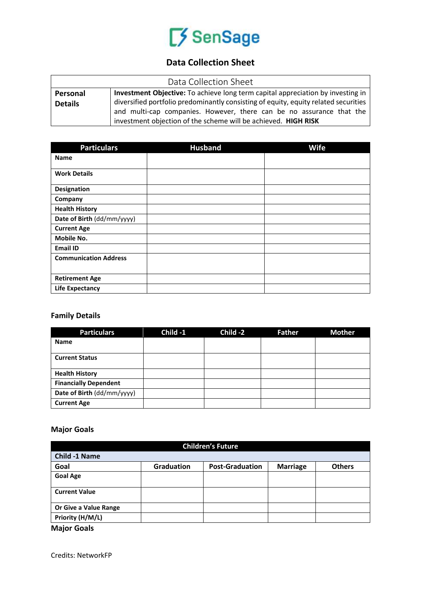# SenSage

# **Data Collection Sheet**

| Data Collection Sheet |                                                                                     |  |  |
|-----------------------|-------------------------------------------------------------------------------------|--|--|
| Personal              | Investment Objective: To achieve long term capital appreciation by investing in     |  |  |
| <b>Details</b>        | diversified portfolio predominantly consisting of equity, equity related securities |  |  |
|                       | and multi-cap companies. However, there can be no assurance that the                |  |  |
|                       | investment objection of the scheme will be achieved. HIGH RISK                      |  |  |

| <b>Particulars</b>           | <b>Husband</b> | <b>Wife</b> |
|------------------------------|----------------|-------------|
| <b>Name</b>                  |                |             |
| <b>Work Details</b>          |                |             |
| Designation                  |                |             |
| Company                      |                |             |
| <b>Health History</b>        |                |             |
| Date of Birth (dd/mm/yyyy)   |                |             |
| <b>Current Age</b>           |                |             |
| Mobile No.                   |                |             |
| <b>Email ID</b>              |                |             |
| <b>Communication Address</b> |                |             |
| <b>Retirement Age</b>        |                |             |
| <b>Life Expectancy</b>       |                |             |

# **Family Details**

| <b>Particulars</b>           | Child -1 | Child -2 | <b>Father</b> | <b>Mother</b> |
|------------------------------|----------|----------|---------------|---------------|
| <b>Name</b>                  |          |          |               |               |
| <b>Current Status</b>        |          |          |               |               |
| <b>Health History</b>        |          |          |               |               |
| <b>Financially Dependent</b> |          |          |               |               |
| Date of Birth (dd/mm/yyyy)   |          |          |               |               |
| <b>Current Age</b>           |          |          |               |               |

# **Major Goals**

| <b>Children's Future</b> |                   |                        |                 |               |
|--------------------------|-------------------|------------------------|-----------------|---------------|
| <b>Child -1 Name</b>     |                   |                        |                 |               |
| Goal                     | <b>Graduation</b> | <b>Post-Graduation</b> | <b>Marriage</b> | <b>Others</b> |
| <b>Goal Age</b>          |                   |                        |                 |               |
| <b>Current Value</b>     |                   |                        |                 |               |
| Or Give a Value Range    |                   |                        |                 |               |
| Priority (H/M/L)         |                   |                        |                 |               |

**Major Goals**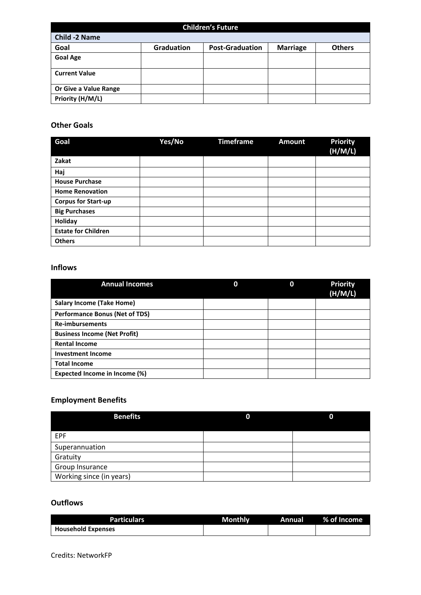| <b>Children's Future</b> |                   |                        |                 |               |  |
|--------------------------|-------------------|------------------------|-----------------|---------------|--|
| <b>Child -2 Name</b>     |                   |                        |                 |               |  |
| Goal                     | <b>Graduation</b> | <b>Post-Graduation</b> | <b>Marriage</b> | <b>Others</b> |  |
| <b>Goal Age</b>          |                   |                        |                 |               |  |
| <b>Current Value</b>     |                   |                        |                 |               |  |
| Or Give a Value Range    |                   |                        |                 |               |  |
| Priority (H/M/L)         |                   |                        |                 |               |  |

#### **Other Goals**

| Goal                       | Yes/No | <b>Timeframe</b> | <b>Amount</b> | <b>Priority</b><br>(H/M/L) |
|----------------------------|--------|------------------|---------------|----------------------------|
| Zakat                      |        |                  |               |                            |
| Haj                        |        |                  |               |                            |
| <b>House Purchase</b>      |        |                  |               |                            |
| <b>Home Renovation</b>     |        |                  |               |                            |
| <b>Corpus for Start-up</b> |        |                  |               |                            |
| <b>Big Purchases</b>       |        |                  |               |                            |
| Holiday                    |        |                  |               |                            |
| <b>Estate for Children</b> |        |                  |               |                            |
| <b>Others</b>              |        |                  |               |                            |

## **Inflows**

| <b>Annual Incomes</b>                 | 0 | 0 | <b>Priority</b><br>(H/M/L) |
|---------------------------------------|---|---|----------------------------|
| <b>Salary Income (Take Home)</b>      |   |   |                            |
| <b>Performance Bonus (Net of TDS)</b> |   |   |                            |
| <b>Re-imbursements</b>                |   |   |                            |
| <b>Business Income (Net Profit)</b>   |   |   |                            |
| <b>Rental Income</b>                  |   |   |                            |
| <b>Investment Income</b>              |   |   |                            |
| <b>Total Income</b>                   |   |   |                            |
| Expected Income in Income (%)         |   |   |                            |

# **Employment Benefits**

| <b>Benefits</b>          | 0 | 0 |
|--------------------------|---|---|
| <b>EPF</b>               |   |   |
| Superannuation           |   |   |
| Gratuity                 |   |   |
| Group Insurance          |   |   |
| Working since (in years) |   |   |

#### **Outflows**

| <b>Particulars</b>        | Monthly | Annual | 2% of Income |
|---------------------------|---------|--------|--------------|
| <b>Household Expenses</b> |         |        |              |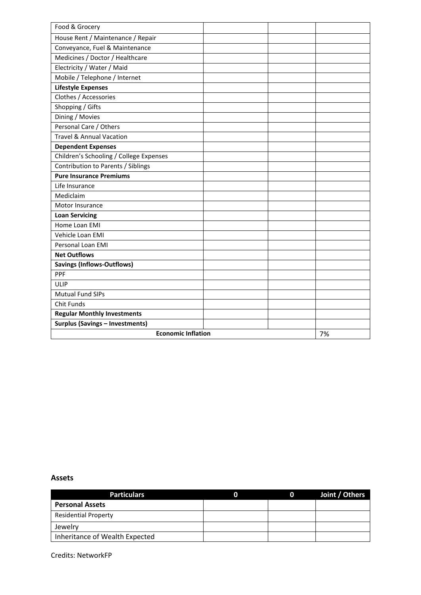| Food & Grocery                          |  |    |
|-----------------------------------------|--|----|
| House Rent / Maintenance / Repair       |  |    |
| Conveyance, Fuel & Maintenance          |  |    |
| Medicines / Doctor / Healthcare         |  |    |
| Electricity / Water / Maid              |  |    |
| Mobile / Telephone / Internet           |  |    |
| <b>Lifestyle Expenses</b>               |  |    |
| Clothes / Accessories                   |  |    |
| Shopping / Gifts                        |  |    |
| Dining / Movies                         |  |    |
| Personal Care / Others                  |  |    |
| <b>Travel &amp; Annual Vacation</b>     |  |    |
| <b>Dependent Expenses</b>               |  |    |
| Children's Schooling / College Expenses |  |    |
| Contribution to Parents / Siblings      |  |    |
| <b>Pure Insurance Premiums</b>          |  |    |
| Life Insurance                          |  |    |
| Mediclaim                               |  |    |
| Motor Insurance                         |  |    |
| <b>Loan Servicing</b>                   |  |    |
| Home Loan EMI                           |  |    |
| Vehicle Loan EMI                        |  |    |
| Personal Loan EMI                       |  |    |
| <b>Net Outflows</b>                     |  |    |
| <b>Savings (Inflows-Outflows)</b>       |  |    |
| PPF                                     |  |    |
| ULIP                                    |  |    |
| <b>Mutual Fund SIPs</b>                 |  |    |
| Chit Funds                              |  |    |
| <b>Regular Monthly Investments</b>      |  |    |
| <b>Surplus (Savings - Investments)</b>  |  |    |
| <b>Economic Inflation</b>               |  | 7% |

#### **Assets**

| <b>Particulars</b>             | $\mathbf 0$ | Joint / Others |
|--------------------------------|-------------|----------------|
| <b>Personal Assets</b>         |             |                |
| <b>Residential Property</b>    |             |                |
| Jewelry                        |             |                |
| Inheritance of Wealth Expected |             |                |